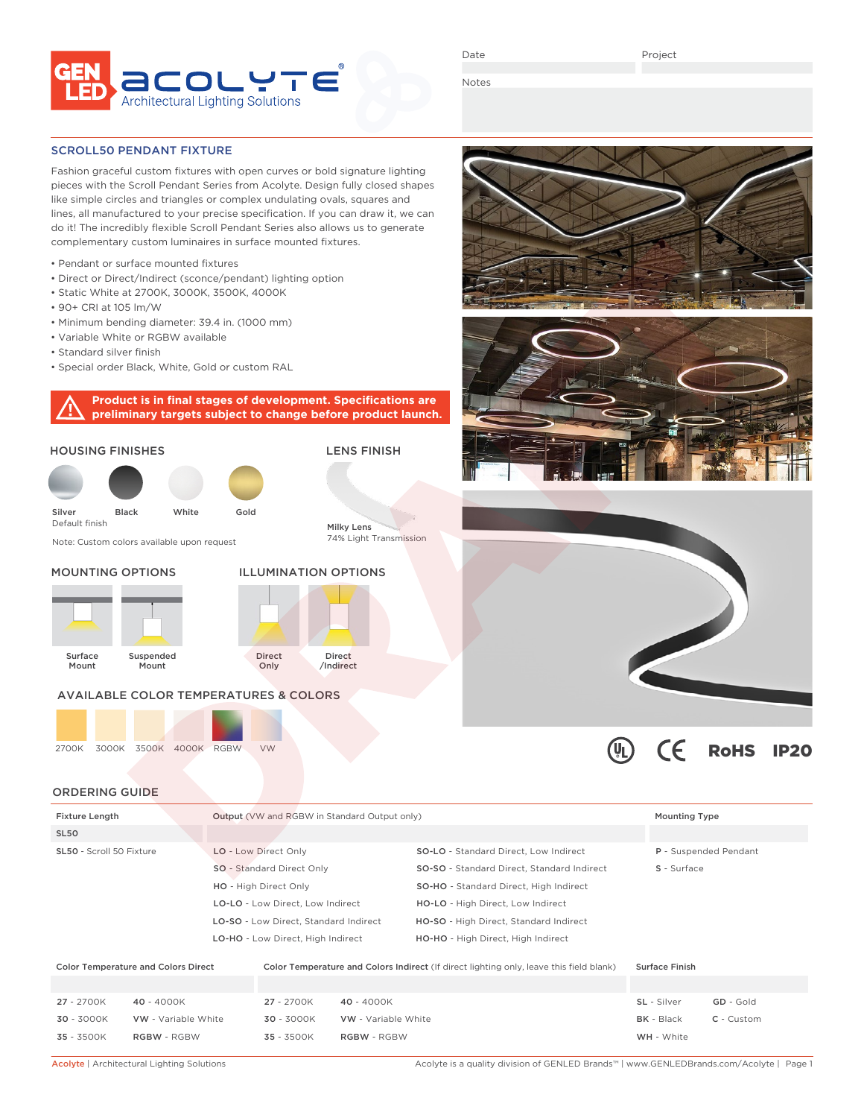

Date

Project

Notes

### SCROLL50 PENDANT FIXTURE

Fashion graceful custom fixtures with open curves or bold signature lighting pieces with the Scroll Pendant Series from Acolyte. Design fully closed shapes like simple circles and triangles or complex undulating ovals, squares and lines, all manufactured to your precise specification. If you can draw it, we can do it! The incredibly flexible Scroll Pendant Series also allows us to generate complementary custom luminaires in surface mounted fixtures.

- Pendant or surface mounted fixtures
- Direct or Direct/Indirect (sconce/pendant) lighting option
- Static White at 2700K, 3000K, 3500K, 4000K
- 90+ CRI at 105 lm/W
- Minimum bending diameter: 39.4 in. (1000 mm)
- Variable White or RGBW available
- Standard silver finish
- Special order Black, White, Gold or custom RAL

## **Product is in final stages of development. Specifications are preliminary targets subject to change before product launch.**









| <b>Fixture Length</b>                      |            |                                  | <b>Output</b> (VW and RGBW in Standard Output only)                       |                     |                                                                                         |  |                       | <b>Mounting Type</b> |  |
|--------------------------------------------|------------|----------------------------------|---------------------------------------------------------------------------|---------------------|-----------------------------------------------------------------------------------------|--|-----------------------|----------------------|--|
| SL <sub>50</sub>                           |            |                                  |                                                                           |                     |                                                                                         |  |                       |                      |  |
| SL50 - Scroll 50 Fixture                   |            | LO - Low Direct Only             |                                                                           |                     | <b>SO-LO</b> - Standard Direct, Low Indirect                                            |  | P - Suspended Pendant |                      |  |
|                                            |            | <b>SO</b> - Standard Direct Only |                                                                           |                     | SO-SO - Standard Direct, Standard Indirect                                              |  | S - Surface           |                      |  |
|                                            |            |                                  | HO - High Direct Only                                                     |                     | SO-HO - Standard Direct, High Indirect                                                  |  |                       |                      |  |
|                                            |            |                                  | LO-LO - Low Direct. Low Indirect<br>LO-SO - Low Direct, Standard Indirect |                     | HO-LO - High Direct, Low Indirect                                                       |  |                       |                      |  |
|                                            |            |                                  |                                                                           |                     | HO-SO - High Direct, Standard Indirect                                                  |  |                       |                      |  |
|                                            |            |                                  | LO-HO - Low Direct, High Indirect                                         |                     | HO-HO - High Direct, High Indirect                                                      |  |                       |                      |  |
|                                            |            |                                  |                                                                           |                     |                                                                                         |  |                       |                      |  |
| <b>Color Temperature and Colors Direct</b> |            |                                  |                                                                           |                     | Color Temperature and Colors Indirect (If direct lighting only, leave this field blank) |  | <b>Surface Finish</b> |                      |  |
|                                            |            |                                  |                                                                           |                     |                                                                                         |  |                       |                      |  |
| 27 - 2700K                                 | 40 - 4000K |                                  | 27 - 2700K                                                                | 40 - 4000K          |                                                                                         |  | SL - Silver           | GD - Gold            |  |
| 30 - 3000K<br>VW - Variable White          |            |                                  | $30 - 3000K$                                                              | VW - Variable White |                                                                                         |  | <b>BK</b> - Black     | $C -$ Custom         |  |

35 - 3500K RGBW - RGBW 35 - 3500K RGBW - RGBW WH - White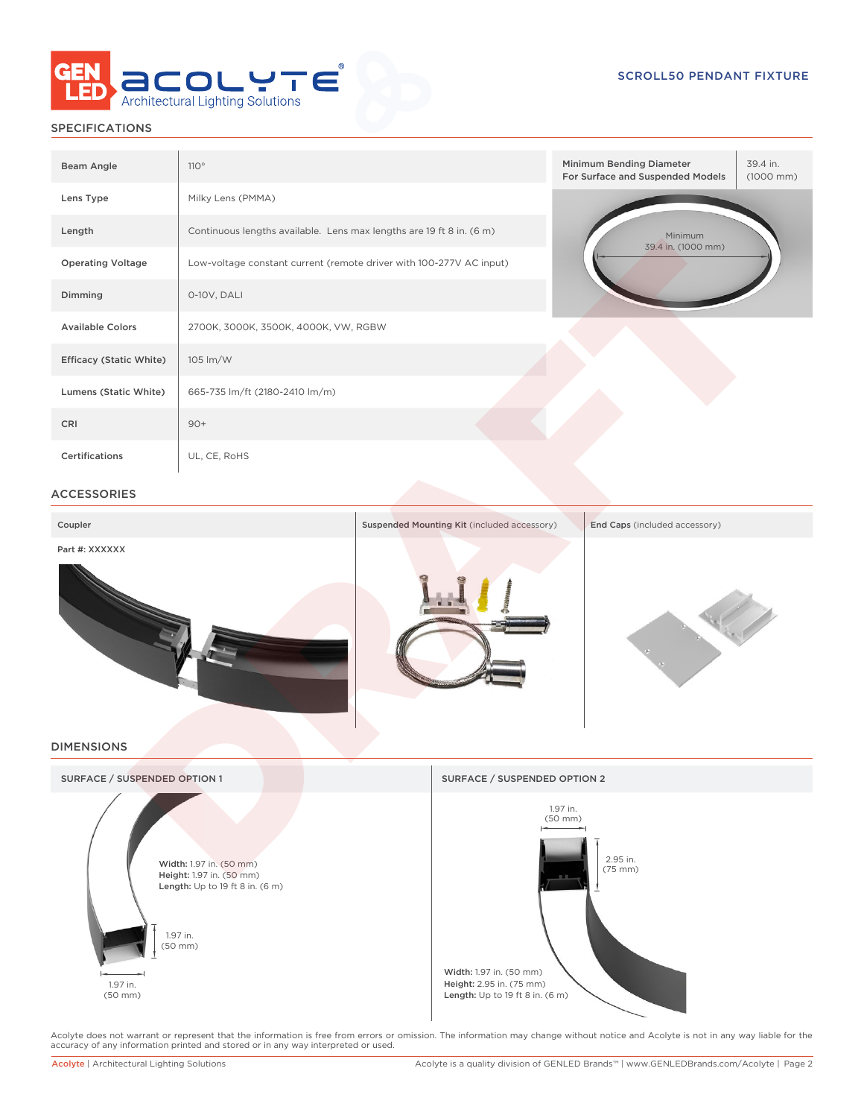

# SPECIFICATIONS

| Beam Angle                     | 110°                                                                 | 39.4 in.<br>Minimum Bending Diameter<br>For Surface and Suspended Models<br>$(1000 \, \text{mm})$ |  |  |  |  |
|--------------------------------|----------------------------------------------------------------------|---------------------------------------------------------------------------------------------------|--|--|--|--|
| Lens Type                      | Milky Lens (PMMA)                                                    |                                                                                                   |  |  |  |  |
| Length                         | Continuous lengths available. Lens max lengths are 19 ft 8 in. (6 m) | Minimum<br>39.4 in. (1000 mm)                                                                     |  |  |  |  |
| <b>Operating Voltage</b>       | Low-voltage constant current (remote driver with 100-277V AC input)  |                                                                                                   |  |  |  |  |
| Dimming                        | 0-10V, DALI                                                          |                                                                                                   |  |  |  |  |
| <b>Available Colors</b>        | 2700K, 3000K, 3500K, 4000K, VW, RGBW                                 |                                                                                                   |  |  |  |  |
| <b>Efficacy (Static White)</b> | 105 lm/W                                                             |                                                                                                   |  |  |  |  |
| Lumens (Static White)          | 665-735 lm/ft (2180-2410 lm/m)                                       |                                                                                                   |  |  |  |  |
| CRI                            | $90+$                                                                |                                                                                                   |  |  |  |  |
| <b>Certifications</b>          | UL, CE, RoHS                                                         |                                                                                                   |  |  |  |  |

### ACCESSORIES

| Coupler           | Suspended Mounting Kit (included accessory) | End Caps (included accessory) |
|-------------------|---------------------------------------------|-------------------------------|
| Part #: XXXXXX    |                                             |                               |
|                   |                                             |                               |
| <b>DIMENSIONS</b> |                                             |                               |
|                   |                                             |                               |



Acolyte does not warrant or represent that the information is free from errors or omission. The information may change without notice and Acolyte is not in any way liable for the<br>accuracy of any information printed and sto